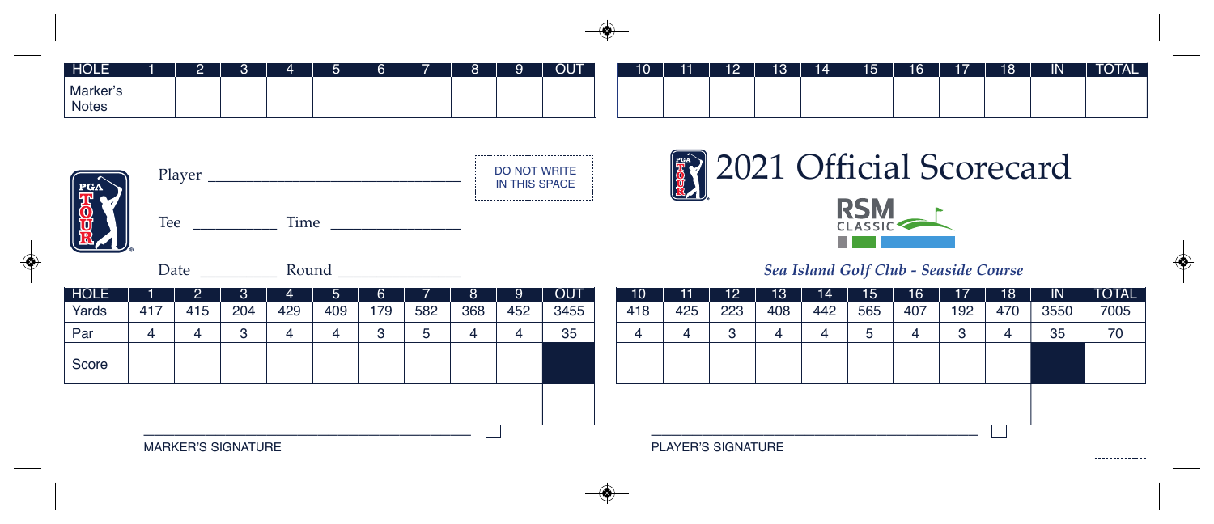| HOLE              |  |  | - | $\sim$ | $\Omega$ | $\alpha$ | <b>OUT</b> | 10 | 11 | 12 | 13 <sup>°</sup> | 14 | 15 | 16 | 17 | 18 | $\overline{\mathsf{IN}}$ | <b>TOTAL</b> |
|-------------------|--|--|---|--------|----------|----------|------------|----|----|----|-----------------|----|----|----|----|----|--------------------------|--------------|
| Marker's<br>Notes |  |  |   |        |          |          |            |    |    |    |                 |    |    |    |    |    |                          |              |



|  | Player |      |  |  |  |  |  |  |  |  |  |  |  |  |  |
|--|--------|------|--|--|--|--|--|--|--|--|--|--|--|--|--|
|  | Tee    | Time |  |  |  |  |  |  |  |  |  |  |  |  |  |

Date \_\_\_\_\_\_\_\_\_\_ Round \_\_\_\_\_\_\_\_\_\_\_\_\_\_\_\_





## *Sea Island Golf Club - Seaside Course*

| <b>HOLE</b> |                           |     | ت.  | 4   | .5  | b   |     | 8   | 9   | <b>OUT</b> |  | $10^{\circ}$       |     | 12  | 13  | 14  | 15  | 16  |         | 18  | $\mathsf{IN}$  | <b>TOTAL</b>   |
|-------------|---------------------------|-----|-----|-----|-----|-----|-----|-----|-----|------------|--|--------------------|-----|-----|-----|-----|-----|-----|---------|-----|----------------|----------------|
| Yards       | 417                       | 415 | 204 | 429 | 409 | 179 | 582 | 368 | 452 | 3455       |  | 418                | 425 | 223 | 408 | 442 | 565 | 407 | 192     | 470 | 3550           | 7005           |
| Par         |                           |     |     | 4   | 4   |     |     | 4   |     | 35         |  |                    |     | 3   |     | 4   | .5  | ൧   | ◠<br>ັບ |     | 35             | 70             |
| Score       |                           |     |     |     |     |     |     |     |     |            |  |                    |     |     |     |     |     |     |         |     |                |                |
|             |                           |     |     |     |     |     |     |     |     |            |  |                    |     |     |     |     |     |     |         |     |                |                |
|             | ___                       |     |     |     |     |     |     |     |     |            |  |                    |     |     |     |     |     |     |         |     |                | -------------- |
|             | <b>MARKER'S SIGNATURE</b> |     |     |     |     |     |     |     |     |            |  | PLAYER'S SIGNATURE |     |     |     |     |     |     |         |     | -------------- |                |